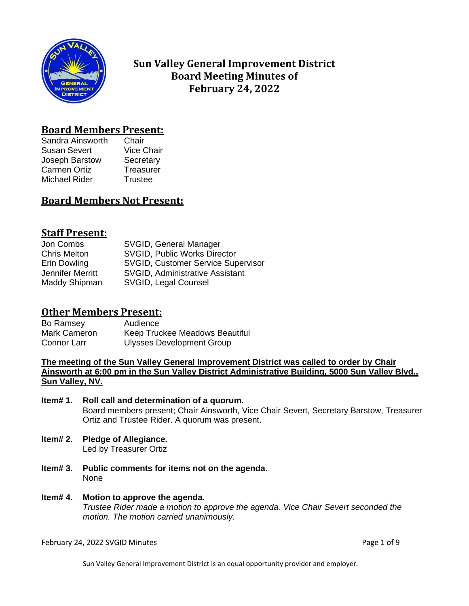

# **Sun Valley General Improvement District Board Meeting Minutes of February 24, 2022**

## **Board Members Present:**

Sandra Ainsworth Chair Susan Severt Vice Chair Joseph Barstow Secretary Carmen Ortiz **Treasurer** Michael Rider Trustee

## **Board Members Not Present:**

## **Staff Present:**

| Jon Combs           | SVGID, General Manager                    |
|---------------------|-------------------------------------------|
| <b>Chris Melton</b> | <b>SVGID, Public Works Director</b>       |
| Erin Dowling        | <b>SVGID, Customer Service Supervisor</b> |
| Jennifer Merritt    | <b>SVGID, Administrative Assistant</b>    |
| Maddy Shipman       | SVGID, Legal Counsel                      |

## **Other Members Present:**

Bo Ramsey **Audience**<br>
Mark Cameron Keep Truc Keep Truckee Meadows Beautiful Connor Larr Ulysses Development Group

**The meeting of the Sun Valley General Improvement District was called to order by Chair Ainsworth at 6:00 pm in the Sun Valley District Administrative Building, 5000 Sun Valley Blvd., Sun Valley, NV.**

### **Item# 1. Roll call and determination of a quorum.** Board members present; Chair Ainsworth, Vice Chair Severt, Secretary Barstow, Treasurer Ortiz and Trustee Rider. A quorum was present.

- **Item# 2. Pledge of Allegiance.** Led by Treasurer Ortiz
- **Item# 3. Public comments for items not on the agenda.**  None
- **Item# 4. Motion to approve the agenda.** *Trustee Rider made a motion to approve the agenda. Vice Chair Severt seconded the motion. The motion carried unanimously.*

February 24, 2022 SVGID Minutes **Page 1 of 9** and 2011 12:00 and 2012 12:00 and 2012 12:00 Page 1 of 9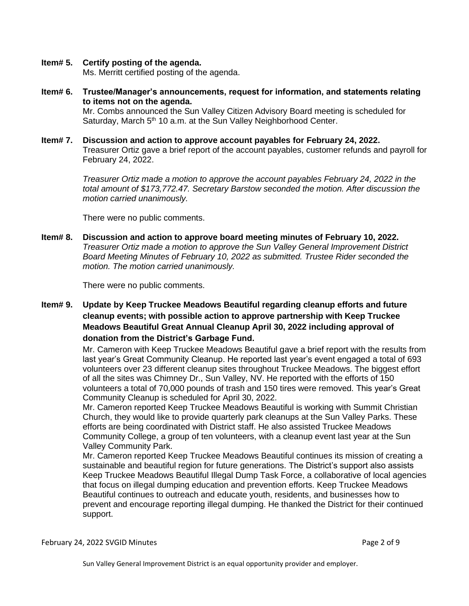### **Item# 5. Certify posting of the agenda.**

Ms. Merritt certified posting of the agenda.

- **Item# 6. Trustee/Manager's announcements, request for information, and statements relating to items not on the agenda.** Mr. Combs announced the Sun Valley Citizen Advisory Board meeting is scheduled for Saturday, March  $5<sup>th</sup> 10$  a.m. at the Sun Valley Neighborhood Center.
- **Item# 7. Discussion and action to approve account payables for February 24, 2022.**  Treasurer Ortiz gave a brief report of the account payables, customer refunds and payroll for February 24, 2022.

*Treasurer Ortiz made a motion to approve the account payables February 24, 2022 in the total amount of \$173,772.47. Secretary Barstow seconded the motion. After discussion the motion carried unanimously.*

There were no public comments.

**Item# 8. Discussion and action to approve board meeting minutes of February 10, 2022.**  *Treasurer Ortiz made a motion to approve the Sun Valley General Improvement District Board Meeting Minutes of February 10, 2022 as submitted. Trustee Rider seconded the motion. The motion carried unanimously.*

There were no public comments.

**Item# 9. Update by Keep Truckee Meadows Beautiful regarding cleanup efforts and future cleanup events; with possible action to approve partnership with Keep Truckee Meadows Beautiful Great Annual Cleanup April 30, 2022 including approval of donation from the District's Garbage Fund.** 

> Mr. Cameron with Keep Truckee Meadows Beautiful gave a brief report with the results from last year's Great Community Cleanup. He reported last year's event engaged a total of 693 volunteers over 23 different cleanup sites throughout Truckee Meadows. The biggest effort of all the sites was Chimney Dr., Sun Valley, NV. He reported with the efforts of 150 volunteers a total of 70,000 pounds of trash and 150 tires were removed. This year's Great Community Cleanup is scheduled for April 30, 2022.

Mr. Cameron reported Keep Truckee Meadows Beautiful is working with Summit Christian Church, they would like to provide quarterly park cleanups at the Sun Valley Parks. These efforts are being coordinated with District staff. He also assisted Truckee Meadows Community College, a group of ten volunteers, with a cleanup event last year at the Sun Valley Community Park.

Mr. Cameron reported Keep Truckee Meadows Beautiful continues its mission of creating a sustainable and beautiful region for future generations. The District's support also assists Keep Truckee Meadows Beautiful Illegal Dump Task Force, a collaborative of local agencies that focus on illegal dumping education and prevention efforts. Keep Truckee Meadows Beautiful continues to outreach and educate youth, residents, and businesses how to prevent and encourage reporting illegal dumping. He thanked the District for their continued support.

February 24, 2022 SVGID Minutes **Page 2 of 9** and 2011 12:00 and 2011 12:00 and 2011 12:00 and 2011 12:00 Page 2 of 9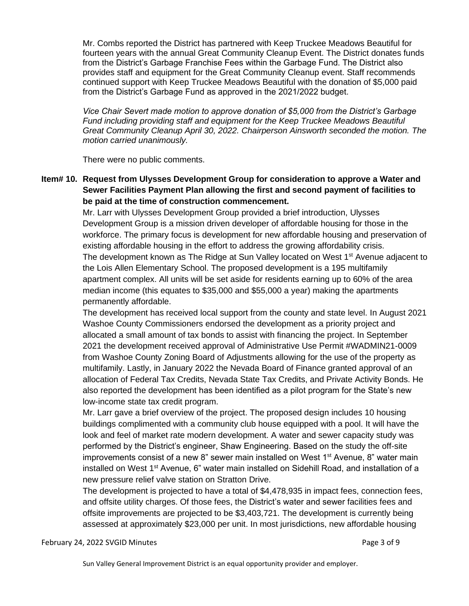Mr. Combs reported the District has partnered with Keep Truckee Meadows Beautiful for fourteen years with the annual Great Community Cleanup Event. The District donates funds from the District's Garbage Franchise Fees within the Garbage Fund. The District also provides staff and equipment for the Great Community Cleanup event. Staff recommends continued support with Keep Truckee Meadows Beautiful with the donation of \$5,000 paid from the District's Garbage Fund as approved in the 2021/2022 budget.

*Vice Chair Severt made motion to approve donation of \$5,000 from the District's Garbage Fund including providing staff and equipment for the Keep Truckee Meadows Beautiful Great Community Cleanup April 30, 2022. Chairperson Ainsworth seconded the motion. The motion carried unanimously.* 

There were no public comments.

**Item# 10. Request from Ulysses Development Group for consideration to approve a Water and Sewer Facilities Payment Plan allowing the first and second payment of facilities to be paid at the time of construction commencement.** 

> Mr. Larr with Ulysses Development Group provided a brief introduction, Ulysses Development Group is a mission driven developer of affordable housing for those in the workforce. The primary focus is development for new affordable housing and preservation of existing affordable housing in the effort to address the growing affordability crisis. The development known as The Ridge at Sun Valley located on West 1<sup>st</sup> Avenue adjacent to the Lois Allen Elementary School. The proposed development is a 195 multifamily apartment complex. All units will be set aside for residents earning up to 60% of the area median income (this equates to \$35,000 and \$55,000 a year) making the apartments permanently affordable.

> The development has received local support from the county and state level. In August 2021 Washoe County Commissioners endorsed the development as a priority project and allocated a small amount of tax bonds to assist with financing the project. In September 2021 the development received approval of Administrative Use Permit #WADMIN21-0009 from Washoe County Zoning Board of Adjustments allowing for the use of the property as multifamily. Lastly, in January 2022 the Nevada Board of Finance granted approval of an allocation of Federal Tax Credits, Nevada State Tax Credits, and Private Activity Bonds. He also reported the development has been identified as a pilot program for the State's new low-income state tax credit program.

Mr. Larr gave a brief overview of the project. The proposed design includes 10 housing buildings complimented with a community club house equipped with a pool. It will have the look and feel of market rate modern development. A water and sewer capacity study was performed by the District's engineer, Shaw Engineering. Based on the study the off-site improvements consist of a new 8" sewer main installed on West  $1<sup>st</sup>$  Avenue, 8" water main installed on West 1<sup>st</sup> Avenue, 6" water main installed on Sidehill Road, and installation of a new pressure relief valve station on Stratton Drive.

The development is projected to have a total of \$4,478,935 in impact fees, connection fees, and offsite utility charges. Of those fees, the District's water and sewer facilities fees and offsite improvements are projected to be \$3,403,721. The development is currently being assessed at approximately \$23,000 per unit. In most jurisdictions, new affordable housing

February 24, 2022 SVGID Minutes **Page 3 of 9**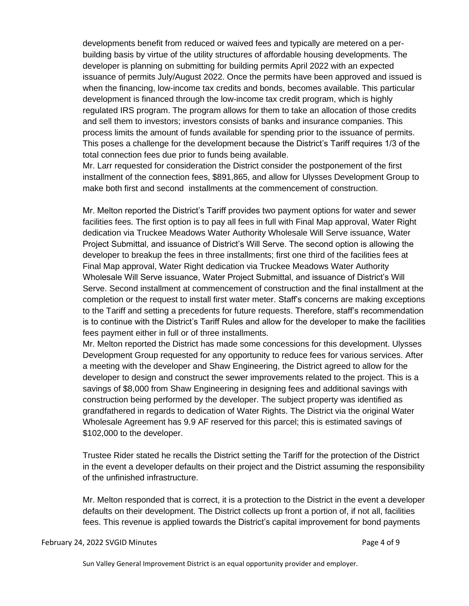developments benefit from reduced or waived fees and typically are metered on a perbuilding basis by virtue of the utility structures of affordable housing developments. The developer is planning on submitting for building permits April 2022 with an expected issuance of permits July/August 2022. Once the permits have been approved and issued is when the financing, low-income tax credits and bonds, becomes available. This particular development is financed through the low-income tax credit program, which is highly regulated IRS program. The program allows for them to take an allocation of those credits and sell them to investors; investors consists of banks and insurance companies. This process limits the amount of funds available for spending prior to the issuance of permits. This poses a challenge for the development because the District's Tariff requires 1/3 of the total connection fees due prior to funds being available.

Mr. Larr requested for consideration the District consider the postponement of the first installment of the connection fees, \$891,865, and allow for Ulysses Development Group to make both first and second installments at the commencement of construction.

Mr. Melton reported the District's Tariff provides two payment options for water and sewer facilities fees. The first option is to pay all fees in full with Final Map approval, Water Right dedication via Truckee Meadows Water Authority Wholesale Will Serve issuance, Water Project Submittal, and issuance of District's Will Serve. The second option is allowing the developer to breakup the fees in three installments; first one third of the facilities fees at Final Map approval, Water Right dedication via Truckee Meadows Water Authority Wholesale Will Serve issuance, Water Project Submittal, and issuance of District's Will Serve. Second installment at commencement of construction and the final installment at the completion or the request to install first water meter. Staff's concerns are making exceptions to the Tariff and setting a precedents for future requests. Therefore, staff's recommendation is to continue with the District's Tariff Rules and allow for the developer to make the facilities fees payment either in full or of three installments.

Mr. Melton reported the District has made some concessions for this development. Ulysses Development Group requested for any opportunity to reduce fees for various services. After a meeting with the developer and Shaw Engineering, the District agreed to allow for the developer to design and construct the sewer improvements related to the project. This is a savings of \$8,000 from Shaw Engineering in designing fees and additional savings with construction being performed by the developer. The subject property was identified as grandfathered in regards to dedication of Water Rights. The District via the original Water Wholesale Agreement has 9.9 AF reserved for this parcel; this is estimated savings of \$102,000 to the developer.

Trustee Rider stated he recalls the District setting the Tariff for the protection of the District in the event a developer defaults on their project and the District assuming the responsibility of the unfinished infrastructure.

Mr. Melton responded that is correct, it is a protection to the District in the event a developer defaults on their development. The District collects up front a portion of, if not all, facilities fees. This revenue is applied towards the District's capital improvement for bond payments

#### February 24, 2022 SVGID Minutes **Page 4 of 9**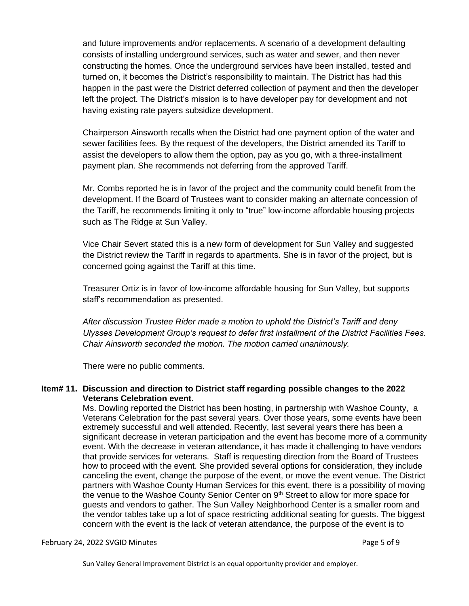and future improvements and/or replacements. A scenario of a development defaulting consists of installing underground services, such as water and sewer, and then never constructing the homes. Once the underground services have been installed, tested and turned on, it becomes the District's responsibility to maintain. The District has had this happen in the past were the District deferred collection of payment and then the developer left the project. The District's mission is to have developer pay for development and not having existing rate payers subsidize development.

Chairperson Ainsworth recalls when the District had one payment option of the water and sewer facilities fees. By the request of the developers, the District amended its Tariff to assist the developers to allow them the option, pay as you go, with a three-installment payment plan. She recommends not deferring from the approved Tariff.

Mr. Combs reported he is in favor of the project and the community could benefit from the development. If the Board of Trustees want to consider making an alternate concession of the Tariff, he recommends limiting it only to "true" low-income affordable housing projects such as The Ridge at Sun Valley.

Vice Chair Severt stated this is a new form of development for Sun Valley and suggested the District review the Tariff in regards to apartments. She is in favor of the project, but is concerned going against the Tariff at this time.

Treasurer Ortiz is in favor of low-income affordable housing for Sun Valley, but supports staff's recommendation as presented.

*After discussion Trustee Rider made a motion to uphold the District's Tariff and deny Ulysses Development Group's request to defer first installment of the District Facilities Fees. Chair Ainsworth seconded the motion. The motion carried unanimously.* 

There were no public comments.

## **Item# 11. Discussion and direction to District staff regarding possible changes to the 2022 Veterans Celebration event.**

Ms. Dowling reported the District has been hosting, in partnership with Washoe County, a Veterans Celebration for the past several years. Over those years, some events have been extremely successful and well attended. Recently, last several years there has been a significant decrease in veteran participation and the event has become more of a community event. With the decrease in veteran attendance, it has made it challenging to have vendors that provide services for veterans. Staff is requesting direction from the Board of Trustees how to proceed with the event. She provided several options for consideration, they include canceling the event, change the purpose of the event, or move the event venue. The District partners with Washoe County Human Services for this event, there is a possibility of moving the venue to the Washoe County Senior Center on  $9<sup>th</sup>$  Street to allow for more space for guests and vendors to gather. The Sun Valley Neighborhood Center is a smaller room and the vendor tables take up a lot of space restricting additional seating for guests. The biggest concern with the event is the lack of veteran attendance, the purpose of the event is to

#### February 24, 2022 SVGID Minutes **Page 1 of 9** and 2012 12:00 and 2012 12:00 and 2012 12:00 and 2012 12:00 and 20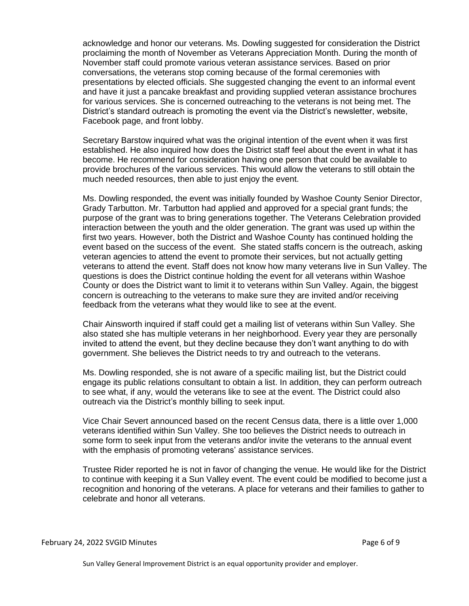acknowledge and honor our veterans. Ms. Dowling suggested for consideration the District proclaiming the month of November as Veterans Appreciation Month. During the month of November staff could promote various veteran assistance services. Based on prior conversations, the veterans stop coming because of the formal ceremonies with presentations by elected officials. She suggested changing the event to an informal event and have it just a pancake breakfast and providing supplied veteran assistance brochures for various services. She is concerned outreaching to the veterans is not being met. The District's standard outreach is promoting the event via the District's newsletter, website, Facebook page, and front lobby.

Secretary Barstow inquired what was the original intention of the event when it was first established. He also inquired how does the District staff feel about the event in what it has become. He recommend for consideration having one person that could be available to provide brochures of the various services. This would allow the veterans to still obtain the much needed resources, then able to just enjoy the event.

Ms. Dowling responded, the event was initially founded by Washoe County Senior Director, Grady Tarbutton. Mr. Tarbutton had applied and approved for a special grant funds; the purpose of the grant was to bring generations together. The Veterans Celebration provided interaction between the youth and the older generation. The grant was used up within the first two years. However, both the District and Washoe County has continued holding the event based on the success of the event. She stated staffs concern is the outreach, asking veteran agencies to attend the event to promote their services, but not actually getting veterans to attend the event. Staff does not know how many veterans live in Sun Valley. The questions is does the District continue holding the event for all veterans within Washoe County or does the District want to limit it to veterans within Sun Valley. Again, the biggest concern is outreaching to the veterans to make sure they are invited and/or receiving feedback from the veterans what they would like to see at the event.

Chair Ainsworth inquired if staff could get a mailing list of veterans within Sun Valley. She also stated she has multiple veterans in her neighborhood. Every year they are personally invited to attend the event, but they decline because they don't want anything to do with government. She believes the District needs to try and outreach to the veterans.

Ms. Dowling responded, she is not aware of a specific mailing list, but the District could engage its public relations consultant to obtain a list. In addition, they can perform outreach to see what, if any, would the veterans like to see at the event. The District could also outreach via the District's monthly billing to seek input.

Vice Chair Severt announced based on the recent Census data, there is a little over 1,000 veterans identified within Sun Valley. She too believes the District needs to outreach in some form to seek input from the veterans and/or invite the veterans to the annual event with the emphasis of promoting veterans' assistance services.

Trustee Rider reported he is not in favor of changing the venue. He would like for the District to continue with keeping it a Sun Valley event. The event could be modified to become just a recognition and honoring of the veterans. A place for veterans and their families to gather to celebrate and honor all veterans.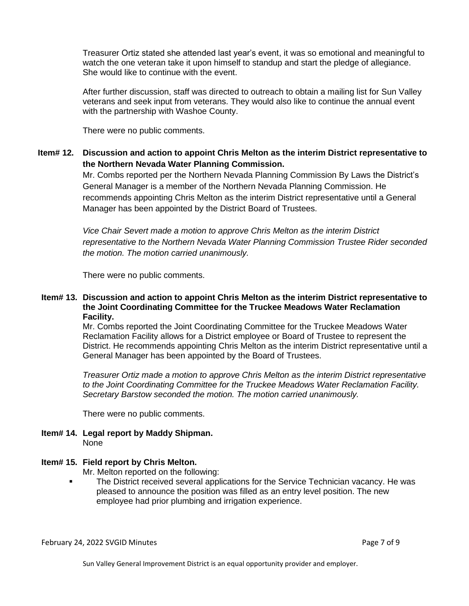Treasurer Ortiz stated she attended last year's event, it was so emotional and meaningful to watch the one veteran take it upon himself to standup and start the pledge of allegiance. She would like to continue with the event.

After further discussion, staff was directed to outreach to obtain a mailing list for Sun Valley veterans and seek input from veterans. They would also like to continue the annual event with the partnership with Washoe County.

There were no public comments.

**Item# 12. Discussion and action to appoint Chris Melton as the interim District representative to the Northern Nevada Water Planning Commission.** 

> Mr. Combs reported per the Northern Nevada Planning Commission By Laws the District's General Manager is a member of the Northern Nevada Planning Commission. He recommends appointing Chris Melton as the interim District representative until a General Manager has been appointed by the District Board of Trustees.

*Vice Chair Severt made a motion to approve Chris Melton as the interim District representative to the Northern Nevada Water Planning Commission Trustee Rider seconded the motion. The motion carried unanimously.*

There were no public comments.

#### **Item# 13. Discussion and action to appoint Chris Melton as the interim District representative to the Joint Coordinating Committee for the Truckee Meadows Water Reclamation Facility.**

Mr. Combs reported the Joint Coordinating Committee for the Truckee Meadows Water Reclamation Facility allows for a District employee or Board of Trustee to represent the District. He recommends appointing Chris Melton as the interim District representative until a General Manager has been appointed by the Board of Trustees.

*Treasurer Ortiz made a motion to approve Chris Melton as the interim District representative to the Joint Coordinating Committee for the Truckee Meadows Water Reclamation Facility. Secretary Barstow seconded the motion. The motion carried unanimously.* 

There were no public comments.

**Item# 14. Legal report by Maddy Shipman.** None

## **Item# 15. Field report by Chris Melton.**

Mr. Melton reported on the following:

▪ The District received several applications for the Service Technician vacancy. He was pleased to announce the position was filled as an entry level position. The new employee had prior plumbing and irrigation experience.

February 24, 2022 SVGID Minutes **Page 7 of 9** and 2012 12:00 and 2012 12:00 and 2012 12:00 and 2012 12:00 Page 7 of 9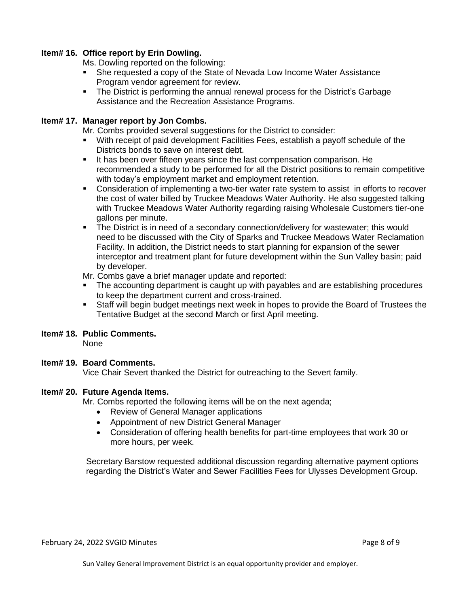## **Item# 16. Office report by Erin Dowling.**

Ms. Dowling reported on the following:

- She requested a copy of the State of Nevada Low Income Water Assistance Program vendor agreement for review.
- The District is performing the annual renewal process for the District's Garbage Assistance and the Recreation Assistance Programs.

### **Item# 17. Manager report by Jon Combs.**

Mr. Combs provided several suggestions for the District to consider:

- With receipt of paid development Facilities Fees, establish a payoff schedule of the Districts bonds to save on interest debt.
- It has been over fifteen years since the last compensation comparison. He recommended a study to be performed for all the District positions to remain competitive with today's employment market and employment retention.
- **•** Consideration of implementing a two-tier water rate system to assist in efforts to recover the cost of water billed by Truckee Meadows Water Authority. He also suggested talking with Truckee Meadows Water Authority regarding raising Wholesale Customers tier-one gallons per minute.
- **•** The District is in need of a secondary connection/delivery for wastewater; this would need to be discussed with the City of Sparks and Truckee Meadows Water Reclamation Facility. In addition, the District needs to start planning for expansion of the sewer interceptor and treatment plant for future development within the Sun Valley basin; paid by developer.

Mr. Combs gave a brief manager update and reported:

- **•** The accounting department is caught up with payables and are establishing procedures to keep the department current and cross-trained.
- Staff will begin budget meetings next week in hopes to provide the Board of Trustees the Tentative Budget at the second March or first April meeting.

## **Item# 18. Public Comments.**

None

## **Item# 19. Board Comments.**

Vice Chair Severt thanked the District for outreaching to the Severt family.

#### **Item# 20. Future Agenda Items.**

Mr. Combs reported the following items will be on the next agenda;

- Review of General Manager applications
- Appointment of new District General Manager
- Consideration of offering health benefits for part-time employees that work 30 or more hours, per week.

Secretary Barstow requested additional discussion regarding alternative payment options regarding the District's Water and Sewer Facilities Fees for Ulysses Development Group.